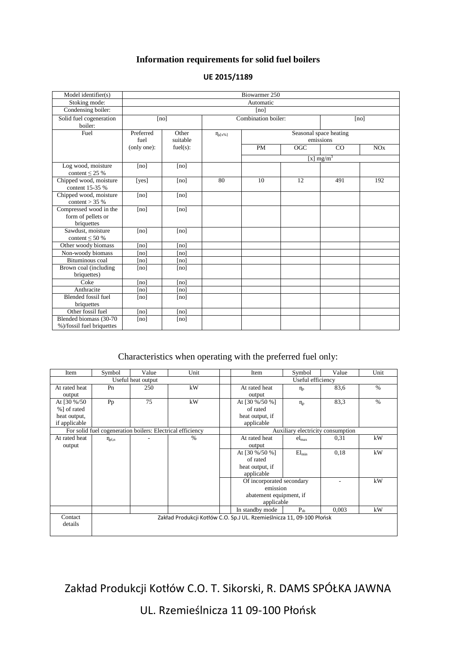## **Information requirements for solid fuel boilers**

| Model identifier(s)                                        | Biowarmer 250     |                   |                     |                                     |                  |              |     |
|------------------------------------------------------------|-------------------|-------------------|---------------------|-------------------------------------|------------------|--------------|-----|
| Stoking mode:                                              | Automatic         |                   |                     |                                     |                  |              |     |
| Condensing boiler:                                         | [no]              |                   |                     |                                     |                  |              |     |
| Solid fuel cogeneration<br>boiler:                         | [no]              |                   | Combination boiler: |                                     |                  | [no]         |     |
| Fuel                                                       | Preferred<br>fuel | Other<br>suitable | $\eta_{s[x\%]}$     | Seasonal space heating<br>emissions |                  |              |     |
|                                                            | (only one):       | fuel(s):          |                     | PM                                  | $\overline{OGC}$ | CO           | NOx |
|                                                            |                   |                   |                     |                                     |                  | [x] $mg/m^3$ |     |
| Log wood, moisture<br>content $\leq$ 25 %                  | [no]              | [no]              |                     |                                     |                  |              |     |
| Chipped wood, moisture<br>content 15-35 %                  | [yes]             | [no]              | 80                  | 10                                  | 12               | 491          | 192 |
| Chipped wood, moisture<br>content $>$ 35 %                 | [no]              | [no]              |                     |                                     |                  |              |     |
| Compressed wood in the<br>form of pellets or<br>briquettes | [no]              | [no]              |                     |                                     |                  |              |     |
| Sawdust, moisture<br>content $\leq 50\%$                   | [no]              | [no]              |                     |                                     |                  |              |     |
| Other woody biomass                                        | [no]              | [no]              |                     |                                     |                  |              |     |
| Non-woody biomass                                          | [no]              | [no]              |                     |                                     |                  |              |     |
| Bituminous coal                                            | [no]              | [no]              |                     |                                     |                  |              |     |
| Brown coal (including<br>briquettes)                       | [no]              | [no]              |                     |                                     |                  |              |     |
| Coke                                                       | [no]              | [no]              |                     |                                     |                  |              |     |
| Anthracite                                                 | [no]              | [no]              |                     |                                     |                  |              |     |
| <b>Blended fossil fuel</b><br>briquettes                   | [no]              | [no]              |                     |                                     |                  |              |     |
| Other fossil fuel                                          | [no]              | [no]              |                     |                                     |                  |              |     |
| Blended biomass (30-70<br>%)/fossil fuel briquettes        | [no]              | [no]              |                     |                                     |                  |              |     |

## **UE 2015/1189**

## Characteristics when operating with the preferred fuel only:

| Item                                                       | Symbol               | Value | Unit | Item                                                                  | Symbol            | Value | Unit |  |
|------------------------------------------------------------|----------------------|-------|------|-----------------------------------------------------------------------|-------------------|-------|------|--|
| Useful heat output                                         |                      |       |      |                                                                       | Useful efficiency |       |      |  |
| At rated heat                                              | Pn                   | 250   | kW   | At rated heat                                                         | $\eta_n$          | 83.6  | $\%$ |  |
| output                                                     |                      |       |      | output                                                                |                   |       |      |  |
| At [30 %/50]                                               | Pp                   | 75    | kW   | At [30 %/50 %]                                                        | $\eta_{\rm p}$    | 83.3  | $\%$ |  |
| %] of rated                                                |                      |       |      | of rated                                                              |                   |       |      |  |
| heat output,                                               |                      |       |      | heat output, if                                                       |                   |       |      |  |
| if applicable                                              |                      |       |      | applicable                                                            |                   |       |      |  |
| For solid fuel cogeneration boilers: Electrical efficiency |                      |       |      | Auxiliary electricity consumption                                     |                   |       |      |  |
| At rated heat                                              | $\eta_{\text{el,n}}$ |       | $\%$ | At rated heat                                                         | $el_{\text{max}}$ | 0,31  | kW   |  |
| output                                                     |                      |       |      | output                                                                |                   |       |      |  |
|                                                            |                      |       |      | At [30 %/50 %]                                                        | $El_{\min}$       | 0,18  | kW   |  |
|                                                            |                      |       |      | of rated                                                              |                   |       |      |  |
|                                                            |                      |       |      | heat output, if                                                       |                   |       |      |  |
|                                                            |                      |       |      | applicable                                                            |                   |       |      |  |
|                                                            |                      |       |      | Of incorporated secondary                                             |                   |       | kW   |  |
|                                                            |                      |       |      | emission                                                              |                   |       |      |  |
|                                                            |                      |       |      | abatement equipment, if                                               |                   |       |      |  |
|                                                            |                      |       |      |                                                                       | applicable        |       |      |  |
|                                                            |                      |       |      | In standby mode                                                       | $P_{sh}$          | 0.003 | kW   |  |
| Contact                                                    |                      |       |      | Zakład Produkcji Kotłów C.O. Sp.J UL. Rzemieślnicza 11, 09-100 Płońsk |                   |       |      |  |
| details                                                    |                      |       |      |                                                                       |                   |       |      |  |
|                                                            |                      |       |      |                                                                       |                   |       |      |  |

Zakład Produkcji Kotłów C.O. T. Sikorski, R. DAMS SPÓŁKA JAWNA

UL. Rzemieślnicza 11 09-100 Płońsk